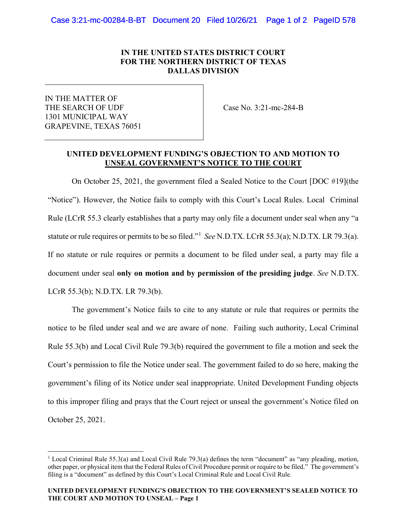## IN THE UNITED STATES DISTRICT COURT FOR THE NORTHERN DISTRICT OF TEXAS DALLAS DIVISION

IN THE MATTER OF THE SEARCH OF UDF 1301 MUNICIPAL WAY GRAPEVINE, TEXAS 76051

 $\overline{a}$ 

Case No. 3:21-mc-284-B

## UNITED DEVELOPMENT FUNDING'S OBJECTION TO AND MOTION TO UNSEAL GOVERNMENT'S NOTICE TO THE COURT

On October 25, 2021, the government filed a Sealed Notice to the Court [DOC #19](the "Notice"). However, the Notice fails to comply with this Court's Local Rules. Local Criminal Rule (LCrR 55.3 clearly establishes that a party may only file a document under seal when any "a statute or rule requires or permits to be so filed."<sup>1</sup> See N.D.TX. LCrR 55.3(a); N.D.TX. LR 79.3(a). If no statute or rule requires or permits a document to be filed under seal, a party may file a document under seal only on motion and by permission of the presiding judge. See N.D.TX. LCrR 55.3(b); N.D.TX. LR 79.3(b).

The government's Notice fails to cite to any statute or rule that requires or permits the notice to be filed under seal and we are aware of none. Failing such authority, Local Criminal Rule 55.3(b) and Local Civil Rule 79.3(b) required the government to file a motion and seek the Court's permission to file the Notice under seal. The government failed to do so here, making the government's filing of its Notice under seal inappropriate. United Development Funding objects to this improper filing and prays that the Court reject or unseal the government's Notice filed on October 25, 2021.

<sup>&</sup>lt;sup>1</sup> Local Criminal Rule 55.3(a) and Local Civil Rule 79.3(a) defines the term "document" as "any pleading, motion, other paper, or physical item that the Federal Rules of Civil Procedure permit or require to be filed." The government's filing is a "document" as defined by this Court's Local Criminal Rule and Local Civil Rule.